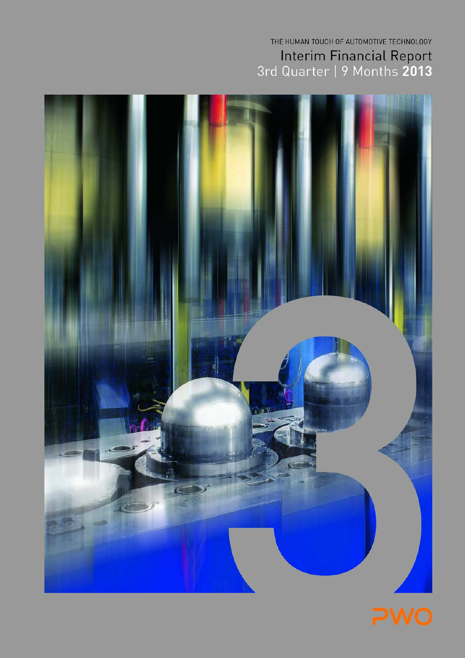# THE HUMAN TOUCH OF AUTOMOTIVE TECHNOLOGY Interim Financial Report<br>3rd Quarter | 9 Months 2013



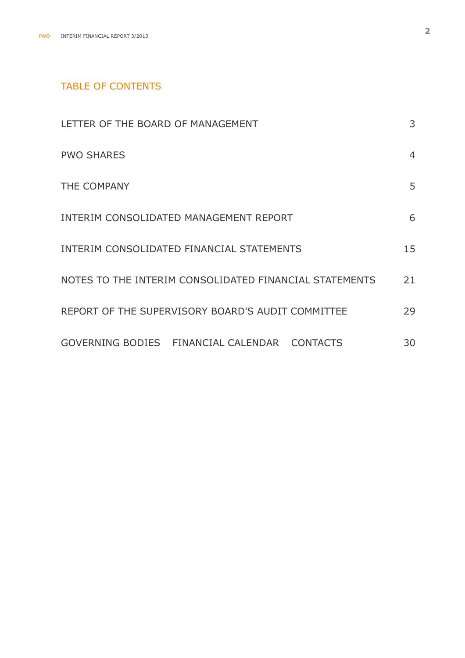## TABLE OF CONTENTS

| LETTER OF THE BOARD OF MANAGEMENT                      | 3  |
|--------------------------------------------------------|----|
| <b>PWO SHARES</b>                                      | 4  |
| THE COMPANY                                            | 5  |
| INTERIM CONSOLIDATED MANAGEMENT REPORT                 | 6  |
| INTERIM CONSOLIDATED FINANCIAL STATEMENTS              | 15 |
| NOTES TO THE INTERIM CONSOLIDATED FINANCIAL STATEMENTS | 21 |
| REPORT OF THE SUPERVISORY BOARD'S AUDIT COMMITTEE      | 29 |
| GOVERNING BODIES   FINANCIAL CALENDAR   CONTACTS       | 30 |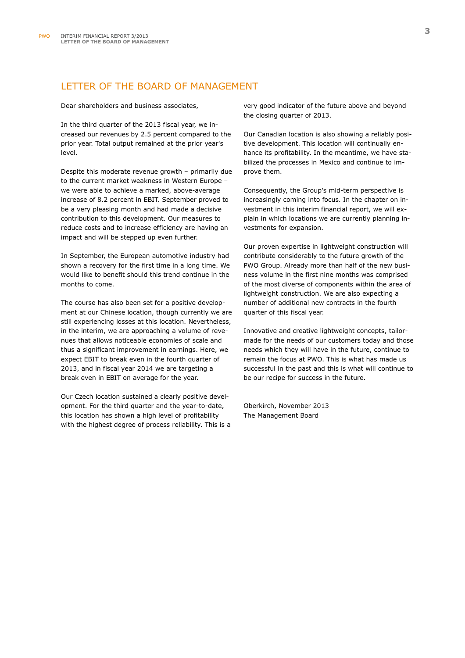## LETTER OF THE BOARD OF MANAGEMENT

Dear shareholders and business associates,

In the third quarter of the 2013 fiscal year, we increased our revenues by 2.5 percent compared to the prior year. Total output remained at the prior year's level.

Despite this moderate revenue growth – primarily due to the current market weakness in Western Europe – we were able to achieve a marked, above-average increase of 8.2 percent in EBIT. September proved to be a very pleasing month and had made a decisive contribution to this development. Our measures to reduce costs and to increase efficiency are having an impact and will be stepped up even further.

In September, the European automotive industry had shown a recovery for the first time in a long time. We would like to benefit should this trend continue in the months to come.

The course has also been set for a positive development at our Chinese location, though currently we are still experiencing losses at this location. Nevertheless, in the interim, we are approaching a volume of revenues that allows noticeable economies of scale and thus a significant improvement in earnings. Here, we expect EBIT to break even in the fourth quarter of 2013, and in fiscal year 2014 we are targeting a break even in EBIT on average for the year.

Our Czech location sustained a clearly positive development. For the third quarter and the year-to-date, this location has shown a high level of profitability with the highest degree of process reliability. This is a very good indicator of the future above and beyond the closing quarter of 2013.

Our Canadian location is also showing a reliably positive development. This location will continually enhance its profitability. In the meantime, we have stabilized the processes in Mexico and continue to improve them.

Consequently, the Group's mid-term perspective is increasingly coming into focus. In the chapter on investment in this interim financial report, we will explain in which locations we are currently planning investments for expansion.

Our proven expertise in lightweight construction will contribute considerably to the future growth of the PWO Group. Already more than half of the new business volume in the first nine months was comprised of the most diverse of components within the area of lightweight construction. We are also expecting a number of additional new contracts in the fourth quarter of this fiscal year.

Innovative and creative lightweight concepts, tailormade for the needs of our customers today and those needs which they will have in the future, continue to remain the focus at PWO. This is what has made us successful in the past and this is what will continue to be our recipe for success in the future.

Oberkirch, November 2013 The Management Board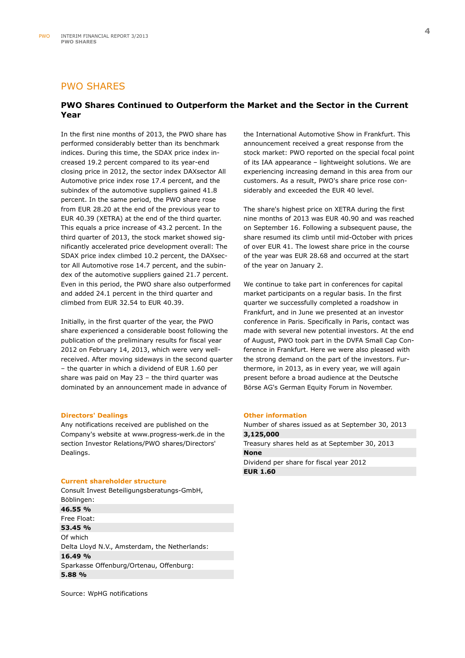## PWO SHARES

## **PWO Shares Continued to Outperform the Market and the Sector in the Current Year**

In the first nine months of 2013, the PWO share has performed considerably better than its benchmark indices. During this time, the SDAX price index increased 19.2 percent compared to its year-end closing price in 2012, the sector index DAXsector All Automotive price index rose 17.4 percent, and the subindex of the automotive suppliers gained 41.8 percent. In the same period, the PWO share rose from EUR 28.20 at the end of the previous year to EUR 40.39 (XETRA) at the end of the third quarter. This equals a price increase of 43.2 percent. In the third quarter of 2013, the stock market showed significantly accelerated price development overall: The SDAX price index climbed 10.2 percent, the DAXsector All Automotive rose 14.7 percent, and the subindex of the automotive suppliers gained 21.7 percent. Even in this period, the PWO share also outperformed and added 24.1 percent in the third quarter and climbed from EUR 32.54 to EUR 40.39.

Initially, in the first quarter of the year, the PWO share experienced a considerable boost following the publication of the preliminary results for fiscal year 2012 on February 14, 2013, which were very wellreceived. After moving sideways in the second quarter – the quarter in which a dividend of EUR 1.60 per share was paid on May 23 – the third quarter was dominated by an announcement made in advance of

#### **Directors' Dealings**

Any notifications received are published on the Company's website at www.progress-werk.de in the section Investor Relations/PWO shares/Directors' Dealings.

#### **Current shareholder structure**

Consult Invest Beteiligungsberatungs-GmbH, Böblingen: **46.55 %**  Free Float: **53.45 %**  Of which Delta Lloyd N.V., Amsterdam, the Netherlands: **16.49 %**  Sparkasse Offenburg/Ortenau, Offenburg: **5.88 %** 

the International Automotive Show in Frankfurt. This announcement received a great response from the stock market: PWO reported on the special focal point of its IAA appearance – lightweight solutions. We are experiencing increasing demand in this area from our customers. As a result, PWO's share price rose considerably and exceeded the EUR 40 level.

The share's highest price on XETRA during the first nine months of 2013 was EUR 40.90 and was reached on September 16. Following a subsequent pause, the share resumed its climb until mid-October with prices of over EUR 41. The lowest share price in the course of the year was EUR 28.68 and occurred at the start of the year on January 2.

We continue to take part in conferences for capital market participants on a regular basis. In the first quarter we successfully completed a roadshow in Frankfurt, and in June we presented at an investor conference in Paris. Specifically in Paris, contact was made with several new potential investors. At the end of August, PWO took part in the DVFA Small Cap Conference in Frankfurt. Here we were also pleased with the strong demand on the part of the investors. Furthermore, in 2013, as in every year, we will again present before a broad audience at the Deutsche Börse AG's German Equity Forum in November.

#### **Other information**

Number of shares issued as at September 30, 2013 **3,125,000**  Treasury shares held as at September 30, 2013 **None**  Dividend per share for fiscal year 2012 **EUR 1.60** 

Source: WpHG notifications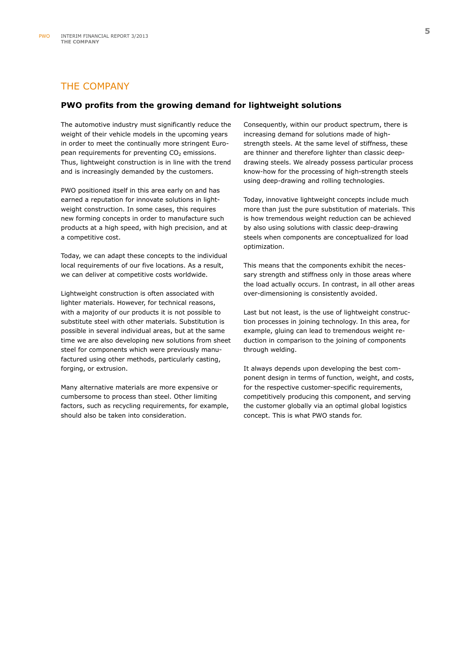## THE COMPANY

### **PWO profits from the growing demand for lightweight solutions**

The automotive industry must significantly reduce the weight of their vehicle models in the upcoming years in order to meet the continually more stringent European requirements for preventing  $CO<sub>2</sub>$  emissions. Thus, lightweight construction is in line with the trend and is increasingly demanded by the customers.

PWO positioned itself in this area early on and has earned a reputation for innovate solutions in lightweight construction. In some cases, this requires new forming concepts in order to manufacture such products at a high speed, with high precision, and at a competitive cost.

Today, we can adapt these concepts to the individual local requirements of our five locations. As a result, we can deliver at competitive costs worldwide.

Lightweight construction is often associated with lighter materials. However, for technical reasons, with a majority of our products it is not possible to substitute steel with other materials. Substitution is possible in several individual areas, but at the same time we are also developing new solutions from sheet steel for components which were previously manufactured using other methods, particularly casting, forging, or extrusion.

Many alternative materials are more expensive or cumbersome to process than steel. Other limiting factors, such as recycling requirements, for example, should also be taken into consideration.

Consequently, within our product spectrum, there is increasing demand for solutions made of highstrength steels. At the same level of stiffness, these are thinner and therefore lighter than classic deepdrawing steels. We already possess particular process know-how for the processing of high-strength steels using deep-drawing and rolling technologies.

Today, innovative lightweight concepts include much more than just the pure substitution of materials. This is how tremendous weight reduction can be achieved by also using solutions with classic deep-drawing steels when components are conceptualized for load optimization.

This means that the components exhibit the necessary strength and stiffness only in those areas where the load actually occurs. In contrast, in all other areas over-dimensioning is consistently avoided.

Last but not least, is the use of lightweight construction processes in joining technology. In this area, for example, gluing can lead to tremendous weight reduction in comparison to the joining of components through welding.

It always depends upon developing the best component design in terms of function, weight, and costs, for the respective customer-specific requirements, competitively producing this component, and serving the customer globally via an optimal global logistics concept. This is what PWO stands for.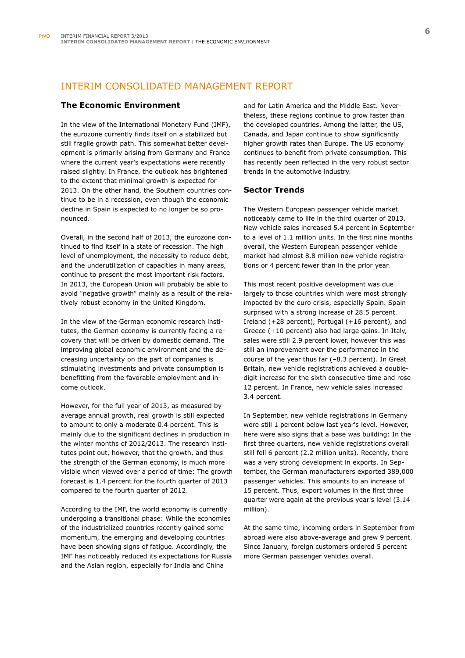## INTERIM CONSOLIDATED MANAGEMENT REPORT

#### **The Economic Environment**

In the view of the International Monetary Fund (IMF), the eurozone currently finds itself on a stabilized but still fragile growth path. This somewhat better development is primarily arising from Germany and France where the current year's expectations were recently raised slightly. In France, the outlook has brightened to the extent that minimal growth is expected for 2013. On the other hand, the Southern countries continue to be in a recession, even though the economic decline in Spain is expected to no longer be so pronounced.

Overall, in the second half of 2013, the eurozone continued to find itself in a state of recession. The high level of unemployment, the necessity to reduce debt, and the underutilization of capacities in many areas, continue to present the most important risk factors. In 2013, the European Union will probably be able to avoid "negative growth" mainly as a result of the relatively robust economy in the United Kingdom.

In the view of the German economic research institutes, the German economy is currently facing a recovery that will be driven by domestic demand. The improving global economic environment and the decreasing uncertainty on the part of companies is stimulating investments and private consumption is benefitting from the favorable employment and income outlook.

However, for the full year of 2013, as measured by average annual growth, real growth is still expected to amount to only a moderate 0.4 percent. This is mainly due to the significant declines in production in the winter months of 2012/2013. The research institutes point out, however, that the growth, and thus the strength of the German economy, is much more visible when viewed over a period of time: The growth forecast is 1.4 percent for the fourth quarter of 2013 compared to the fourth quarter of 2012.

According to the IMF, the world economy is currently undergoing a transitional phase: While the economies of the industrialized countries recently gained some momentum, the emerging and developing countries have been showing signs of fatigue. Accordingly, the IMF has noticeably reduced its expectations for Russia and the Asian region, especially for India and China

and for Latin America and the Middle East. Nevertheless, these regions continue to grow faster than the developed countries. Among the latter, the US, Canada, and Japan continue to show significantly higher growth rates than Europe. The US economy continues to benefit from private consumption. This has recently been reflected in the very robust sector trends in the automotive industry.

#### **Sector Trends**

The Western European passenger vehicle market noticeably came to life in the third quarter of 2013. New vehicle sales increased 5.4 percent in September to a level of 1.1 million units. In the first nine months overall, the Western European passenger vehicle market had almost 8.8 million new vehicle registrations or 4 percent fewer than in the prior year.

This most recent positive development was due largely to those countries which were most strongly impacted by the euro crisis, especially Spain. Spain surprised with a strong increase of 28.5 percent. Ireland (+28 percent), Portugal (+16 percent), and Greece (+10 percent) also had large gains. In Italy, sales were still 2.9 percent lower, however this was still an improvement over the performance in the course of the year thus far (–8.3 percent). In Great Britain, new vehicle registrations achieved a doubledigit increase for the sixth consecutive time and rose 12 percent. In France, new vehicle sales increased 3.4 percent.

In September, new vehicle registrations in Germany were still 1 percent below last year's level. However, here were also signs that a base was building: In the first three quarters, new vehicle registrations overall still fell 6 percent (2.2 million units). Recently, there was a very strong development in exports. In September, the German manufacturers exported 389,000 passenger vehicles. This amounts to an increase of 15 percent. Thus, export volumes in the first three quarter were again at the previous year's level (3.14 million).

At the same time, incoming orders in September from abroad were also above-average and grew 9 percent. Since January, foreign customers ordered 5 percent more German passenger vehicles overall.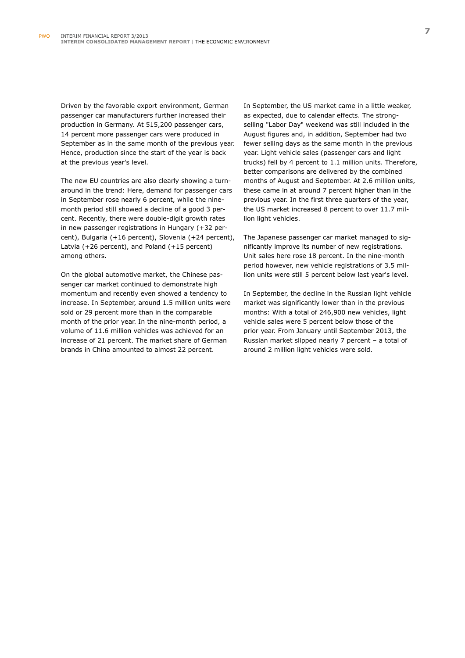Driven by the favorable export environment, German passenger car manufacturers further increased their production in Germany. At 515,200 passenger cars, 14 percent more passenger cars were produced in September as in the same month of the previous year. Hence, production since the start of the year is back at the previous year's level.

The new EU countries are also clearly showing a turnaround in the trend: Here, demand for passenger cars in September rose nearly 6 percent, while the ninemonth period still showed a decline of a good 3 percent. Recently, there were double-digit growth rates in new passenger registrations in Hungary (+32 percent), Bulgaria (+16 percent), Slovenia (+24 percent), Latvia (+26 percent), and Poland (+15 percent) among others.

On the global automotive market, the Chinese passenger car market continued to demonstrate high momentum and recently even showed a tendency to increase. In September, around 1.5 million units were sold or 29 percent more than in the comparable month of the prior year. In the nine-month period, a volume of 11.6 million vehicles was achieved for an increase of 21 percent. The market share of German brands in China amounted to almost 22 percent.

In September, the US market came in a little weaker, as expected, due to calendar effects. The strongselling "Labor Day" weekend was still included in the August figures and, in addition, September had two fewer selling days as the same month in the previous year. Light vehicle sales (passenger cars and light trucks) fell by 4 percent to 1.1 million units. Therefore, better comparisons are delivered by the combined months of August and September. At 2.6 million units, these came in at around 7 percent higher than in the previous year. In the first three quarters of the year, the US market increased 8 percent to over 11.7 million light vehicles.

The Japanese passenger car market managed to significantly improve its number of new registrations. Unit sales here rose 18 percent. In the nine-month period however, new vehicle registrations of 3.5 million units were still 5 percent below last year's level.

In September, the decline in the Russian light vehicle market was significantly lower than in the previous months: With a total of 246,900 new vehicles, light vehicle sales were 5 percent below those of the prior year. From January until September 2013, the Russian market slipped nearly 7 percent – a total of around 2 million light vehicles were sold.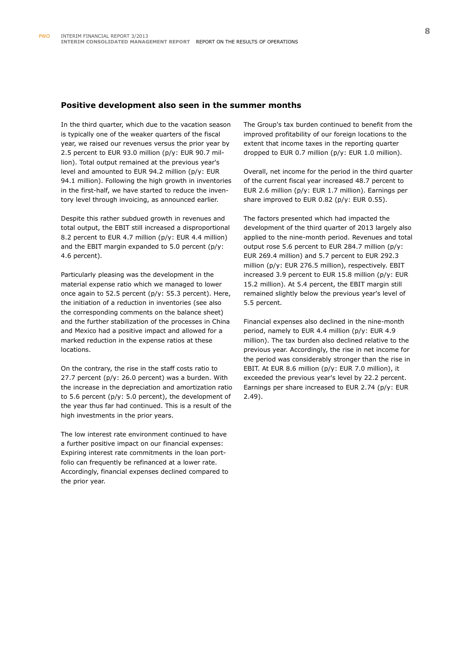#### **Positive development also seen in the summer months**

In the third quarter, which due to the vacation season is typically one of the weaker quarters of the fiscal year, we raised our revenues versus the prior year by 2.5 percent to EUR 93.0 million (p/y: EUR 90.7 million). Total output remained at the previous year's level and amounted to EUR 94.2 million (p/y: EUR 94.1 million). Following the high growth in inventories in the first-half, we have started to reduce the inventory level through invoicing, as announced earlier.

Despite this rather subdued growth in revenues and total output, the EBIT still increased a disproportional 8.2 percent to EUR 4.7 million (p/y: EUR 4.4 million) and the EBIT margin expanded to 5.0 percent (p/y: 4.6 percent).

Particularly pleasing was the development in the material expense ratio which we managed to lower once again to 52.5 percent (p/y: 55.3 percent). Here, the initiation of a reduction in inventories (see also the corresponding comments on the balance sheet) and the further stabilization of the processes in China and Mexico had a positive impact and allowed for a marked reduction in the expense ratios at these locations.

On the contrary, the rise in the staff costs ratio to 27.7 percent (p/y: 26.0 percent) was a burden. With the increase in the depreciation and amortization ratio to 5.6 percent (p/y: 5.0 percent), the development of the year thus far had continued. This is a result of the high investments in the prior years.

The low interest rate environment continued to have a further positive impact on our financial expenses: Expiring interest rate commitments in the loan portfolio can frequently be refinanced at a lower rate. Accordingly, financial expenses declined compared to the prior year.

The Group's tax burden continued to benefit from the improved profitability of our foreign locations to the extent that income taxes in the reporting quarter dropped to EUR 0.7 million (p/y: EUR 1.0 million).

Overall, net income for the period in the third quarter of the current fiscal year increased 48.7 percent to EUR 2.6 million (p/y: EUR 1.7 million). Earnings per share improved to EUR 0.82 (p/y: EUR 0.55).

The factors presented which had impacted the development of the third quarter of 2013 largely also applied to the nine-month period. Revenues and total output rose 5.6 percent to EUR 284.7 million (p/y: EUR 269.4 million) and 5.7 percent to EUR 292.3 million (p/y: EUR 276.5 million), respectively. EBIT increased 3.9 percent to EUR 15.8 million (p/y: EUR 15.2 million). At 5.4 percent, the EBIT margin still remained slightly below the previous year's level of 5.5 percent.

Financial expenses also declined in the nine-month period, namely to EUR 4.4 million (p/y: EUR 4.9 million). The tax burden also declined relative to the previous year. Accordingly, the rise in net income for the period was considerably stronger than the rise in EBIT. At EUR 8.6 million (p/y: EUR 7.0 million), it exceeded the previous year's level by 22.2 percent. Earnings per share increased to EUR 2.74 (p/y: EUR 2.49).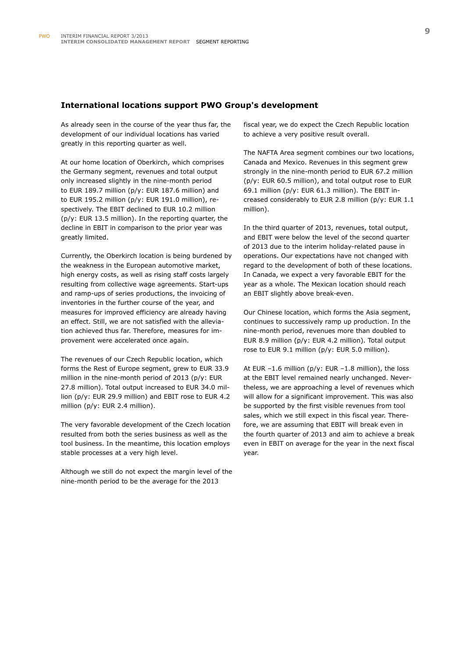#### **International locations support PWO Group's development**

As already seen in the course of the year thus far, the development of our individual locations has varied greatly in this reporting quarter as well.

At our home location of Oberkirch, which comprises the Germany segment, revenues and total output only increased slightly in the nine-month period to EUR 189.7 million (p/y: EUR 187.6 million) and to EUR 195.2 million (p/y: EUR 191.0 million), respectively. The EBIT declined to EUR 10.2 million (p/y: EUR 13.5 million). In the reporting quarter, the decline in EBIT in comparison to the prior year was greatly limited.

Currently, the Oberkirch location is being burdened by the weakness in the European automotive market, high energy costs, as well as rising staff costs largely resulting from collective wage agreements. Start-ups and ramp-ups of series productions, the invoicing of inventories in the further course of the year, and measures for improved efficiency are already having an effect. Still, we are not satisfied with the alleviation achieved thus far. Therefore, measures for improvement were accelerated once again.

The revenues of our Czech Republic location, which forms the Rest of Europe segment, grew to EUR 33.9 million in the nine-month period of 2013 (p/y: EUR 27.8 million). Total output increased to EUR 34.0 million (p/y: EUR 29.9 million) and EBIT rose to EUR 4.2 million (p/y: EUR 2.4 million).

The very favorable development of the Czech location resulted from both the series business as well as the tool business. In the meantime, this location employs stable processes at a very high level.

Although we still do not expect the margin level of the nine-month period to be the average for the 2013

fiscal year, we do expect the Czech Republic location to achieve a very positive result overall.

The NAFTA Area segment combines our two locations, Canada and Mexico. Revenues in this segment grew strongly in the nine-month period to EUR 67.2 million (p/y: EUR 60.5 million), and total output rose to EUR 69.1 million (p/y: EUR 61.3 million). The EBIT increased considerably to EUR 2.8 million (p/y: EUR 1.1 million).

In the third quarter of 2013, revenues, total output, and EBIT were below the level of the second quarter of 2013 due to the interim holiday-related pause in operations. Our expectations have not changed with regard to the development of both of these locations. In Canada, we expect a very favorable EBIT for the year as a whole. The Mexican location should reach an EBIT slightly above break-even.

Our Chinese location, which forms the Asia segment, continues to successively ramp up production. In the nine-month period, revenues more than doubled to EUR 8.9 million (p/y: EUR 4.2 million). Total output rose to EUR 9.1 million (p/y: EUR 5.0 million).

At EUR –1.6 million (p/y: EUR –1.8 million), the loss at the EBIT level remained nearly unchanged. Nevertheless, we are approaching a level of revenues which will allow for a significant improvement. This was also be supported by the first visible revenues from tool sales, which we still expect in this fiscal year. Therefore, we are assuming that EBIT will break even in the fourth quarter of 2013 and aim to achieve a break even in EBIT on average for the year in the next fiscal year.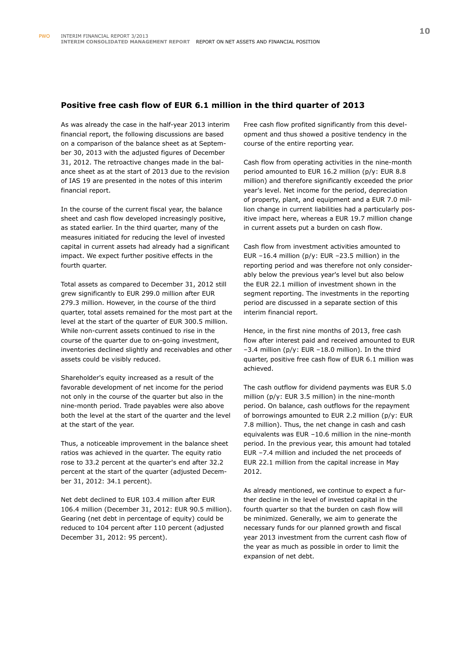### **Positive free cash flow of EUR 6.1 million in the third quarter of 2013**

As was already the case in the half-year 2013 interim financial report, the following discussions are based on a comparison of the balance sheet as at September 30, 2013 with the adjusted figures of December 31, 2012. The retroactive changes made in the balance sheet as at the start of 2013 due to the revision of IAS 19 are presented in the notes of this interim financial report.

In the course of the current fiscal year, the balance sheet and cash flow developed increasingly positive, as stated earlier. In the third quarter, many of the measures initiated for reducing the level of invested capital in current assets had already had a significant impact. We expect further positive effects in the fourth quarter.

Total assets as compared to December 31, 2012 still grew significantly to EUR 299.0 million after EUR 279.3 million. However, in the course of the third quarter, total assets remained for the most part at the level at the start of the quarter of EUR 300.5 million. While non-current assets continued to rise in the course of the quarter due to on-going investment, inventories declined slightly and receivables and other assets could be visibly reduced.

Shareholder's equity increased as a result of the favorable development of net income for the period not only in the course of the quarter but also in the nine-month period. Trade payables were also above both the level at the start of the quarter and the level at the start of the year.

Thus, a noticeable improvement in the balance sheet ratios was achieved in the quarter. The equity ratio rose to 33.2 percent at the quarter's end after 32.2 percent at the start of the quarter (adjusted December 31, 2012: 34.1 percent).

Net debt declined to EUR 103.4 million after EUR 106.4 million (December 31, 2012: EUR 90.5 million). Gearing (net debt in percentage of equity) could be reduced to 104 percent after 110 percent (adjusted December 31, 2012: 95 percent).

Free cash flow profited significantly from this development and thus showed a positive tendency in the course of the entire reporting year.

Cash flow from operating activities in the nine-month period amounted to EUR 16.2 million (p/y: EUR 8.8 million) and therefore significantly exceeded the prior year's level. Net income for the period, depreciation of property, plant, and equipment and a EUR 7.0 million change in current liabilities had a particularly positive impact here, whereas a EUR 19.7 million change in current assets put a burden on cash flow.

Cash flow from investment activities amounted to EUR –16.4 million (p/y: EUR –23.5 million) in the reporting period and was therefore not only considerably below the previous year's level but also below the EUR 22.1 million of investment shown in the segment reporting. The investments in the reporting period are discussed in a separate section of this interim financial report.

Hence, in the first nine months of 2013, free cash flow after interest paid and received amounted to EUR –3.4 million (p/y: EUR –18.0 million). In the third quarter, positive free cash flow of EUR 6.1 million was achieved.

The cash outflow for dividend payments was EUR 5.0 million (p/y: EUR 3.5 million) in the nine-month period. On balance, cash outflows for the repayment of borrowings amounted to EUR 2.2 million (p/y: EUR 7.8 million). Thus, the net change in cash and cash equivalents was EUR –10.6 million in the nine-month period. In the previous year, this amount had totaled EUR –7.4 million and included the net proceeds of EUR 22.1 million from the capital increase in May 2012.

As already mentioned, we continue to expect a further decline in the level of invested capital in the fourth quarter so that the burden on cash flow will be minimized. Generally, we aim to generate the necessary funds for our planned growth and fiscal year 2013 investment from the current cash flow of the year as much as possible in order to limit the expansion of net debt.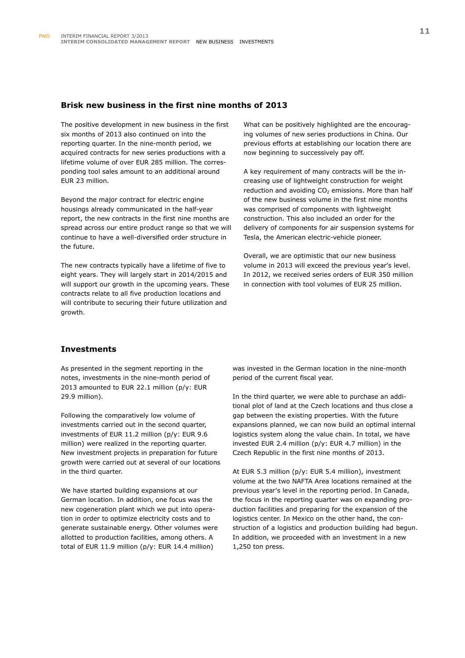#### **Brisk new business in the first nine months of 2013**

The positive development in new business in the first six months of 2013 also continued on into the reporting quarter. In the nine-month period, we acquired contracts for new series productions with a lifetime volume of over EUR 285 million. The corresponding tool sales amount to an additional around EUR 23 million.

Beyond the major contract for electric engine housings already communicated in the half-year report, the new contracts in the first nine months are spread across our entire product range so that we will continue to have a well-diversified order structure in the future.

The new contracts typically have a lifetime of five to eight years. They will largely start in 2014/2015 and will support our growth in the upcoming years. These contracts relate to all five production locations and will contribute to securing their future utilization and growth.

What can be positively highlighted are the encouraging volumes of new series productions in China. Our previous efforts at establishing our location there are now beginning to successively pay off.

A key requirement of many contracts will be the increasing use of lightweight construction for weight reduction and avoiding  $CO<sub>2</sub>$  emissions. More than half of the new business volume in the first nine months was comprised of components with lightweight construction. This also included an order for the delivery of components for air suspension systems for Tesla, the American electric-vehicle pioneer.

Overall, we are optimistic that our new business volume in 2013 will exceed the previous year's level. In 2012, we received series orders of EUR 350 million in connection with tool volumes of EUR 25 million.

### **Investments**

As presented in the segment reporting in the notes, investments in the nine-month period of 2013 amounted to EUR 22.1 million (p/y: EUR 29.9 million).

Following the comparatively low volume of investments carried out in the second quarter, investments of EUR 11.2 million (p/y: EUR 9.6 million) were realized in the reporting quarter. New investment projects in preparation for future growth were carried out at several of our locations in the third quarter.

We have started building expansions at our German location. In addition, one focus was the new cogeneration plant which we put into operation in order to optimize electricity costs and to generate sustainable energy. Other volumes were allotted to production facilities, among others. A total of EUR 11.9 million (p/y: EUR 14.4 million)

was invested in the German location in the nine-month period of the current fiscal year.

In the third quarter, we were able to purchase an additional plot of land at the Czech locations and thus close a gap between the existing properties. With the future expansions planned, we can now build an optimal internal logistics system along the value chain. In total, we have invested EUR 2.4 million (p/y: EUR 4.7 million) in the Czech Republic in the first nine months of 2013.

At EUR 5.3 million (p/y: EUR 5.4 million), investment volume at the two NAFTA Area locations remained at the previous year's level in the reporting period. In Canada, the focus in the reporting quarter was on expanding production facilities and preparing for the expansion of the logistics center. In Mexico on the other hand, the construction of a logistics and production building had begun. In addition, we proceeded with an investment in a new 1,250 ton press.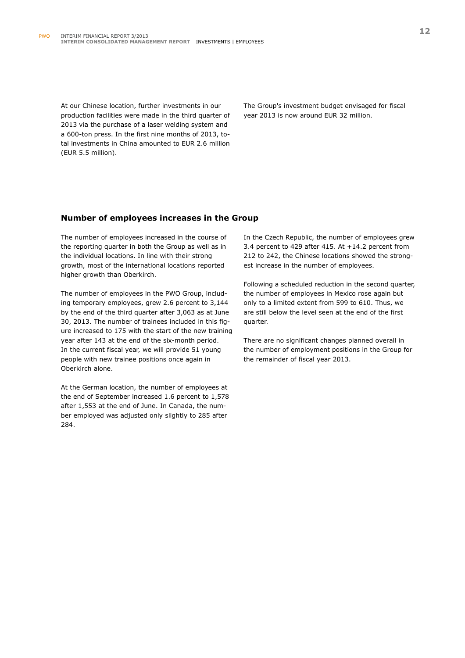At our Chinese location, further investments in our production facilities were made in the third quarter of 2013 via the purchase of a laser welding system and a 600-ton press. In the first nine months of 2013, total investments in China amounted to EUR 2.6 million (EUR 5.5 million).

The Group's investment budget envisaged for fiscal year 2013 is now around EUR 32 million.

### **Number of employees increases in the Group**

The number of employees increased in the course of the reporting quarter in both the Group as well as in the individual locations. In line with their strong growth, most of the international locations reported higher growth than Oberkirch.

The number of employees in the PWO Group, including temporary employees, grew 2.6 percent to 3,144 by the end of the third quarter after 3,063 as at June 30, 2013. The number of trainees included in this figure increased to 175 with the start of the new training year after 143 at the end of the six-month period. In the current fiscal year, we will provide 51 young people with new trainee positions once again in Oberkirch alone.

At the German location, the number of employees at the end of September increased 1.6 percent to 1,578 after 1,553 at the end of June. In Canada, the number employed was adjusted only slightly to 285 after 284.

In the Czech Republic, the number of employees grew 3.4 percent to 429 after 415. At +14.2 percent from 212 to 242, the Chinese locations showed the strongest increase in the number of employees.

Following a scheduled reduction in the second quarter, the number of employees in Mexico rose again but only to a limited extent from 599 to 610. Thus, we are still below the level seen at the end of the first quarter.

There are no significant changes planned overall in the number of employment positions in the Group for the remainder of fiscal year 2013.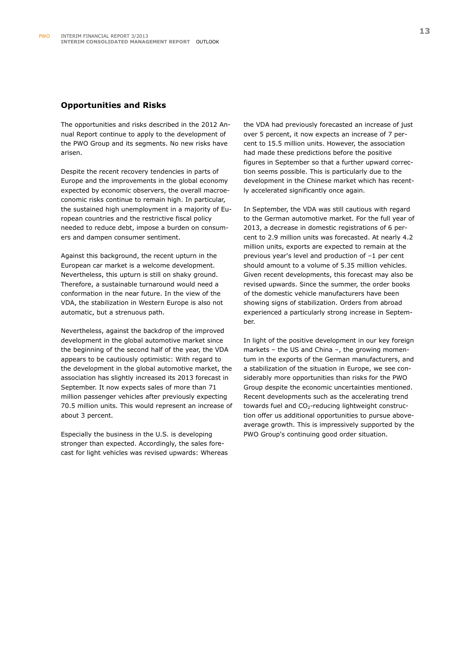#### **Opportunities and Risks**

The opportunities and risks described in the 2012 Annual Report continue to apply to the development of the PWO Group and its segments. No new risks have arisen.

Despite the recent recovery tendencies in parts of Europe and the improvements in the global economy expected by economic observers, the overall macroeconomic risks continue to remain high. In particular, the sustained high unemployment in a majority of European countries and the restrictive fiscal policy needed to reduce debt, impose a burden on consumers and dampen consumer sentiment.

Against this background, the recent upturn in the European car market is a welcome development. Nevertheless, this upturn is still on shaky ground. Therefore, a sustainable turnaround would need a conformation in the near future. In the view of the VDA, the stabilization in Western Europe is also not automatic, but a strenuous path.

Nevertheless, against the backdrop of the improved development in the global automotive market since the beginning of the second half of the year, the VDA appears to be cautiously optimistic: With regard to the development in the global automotive market, the association has slightly increased its 2013 forecast in September. It now expects sales of more than 71 million passenger vehicles after previously expecting 70.5 million units. This would represent an increase of about 3 percent.

Especially the business in the U.S. is developing stronger than expected. Accordingly, the sales forecast for light vehicles was revised upwards: Whereas the VDA had previously forecasted an increase of just over 5 percent, it now expects an increase of 7 percent to 15.5 million units. However, the association had made these predictions before the positive figures in September so that a further upward correction seems possible. This is particularly due to the development in the Chinese market which has recently accelerated significantly once again.

In September, the VDA was still cautious with regard to the German automotive market. For the full year of 2013, a decrease in domestic registrations of 6 percent to 2.9 million units was forecasted. At nearly 4.2 million units, exports are expected to remain at the previous year's level and production of –1 per cent should amount to a volume of 5.35 million vehicles. Given recent developments, this forecast may also be revised upwards. Since the summer, the order books of the domestic vehicle manufacturers have been showing signs of stabilization. Orders from abroad experienced a particularly strong increase in September.

In light of the positive development in our key foreign markets – the US and China –, the growing momentum in the exports of the German manufacturers, and a stabilization of the situation in Europe, we see considerably more opportunities than risks for the PWO Group despite the economic uncertainties mentioned. Recent developments such as the accelerating trend towards fuel and  $CO<sub>2</sub>$ -reducing lightweight construction offer us additional opportunities to pursue aboveaverage growth. This is impressively supported by the PWO Group's continuing good order situation.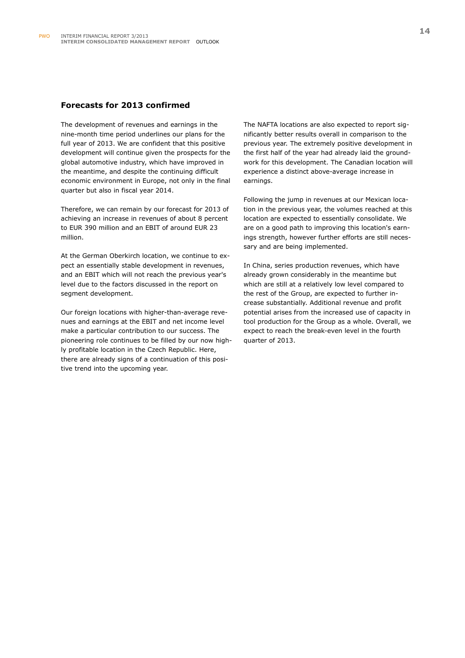#### **Forecasts for 2013 confirmed**

The development of revenues and earnings in the nine-month time period underlines our plans for the full year of 2013. We are confident that this positive development will continue given the prospects for the global automotive industry, which have improved in the meantime, and despite the continuing difficult economic environment in Europe, not only in the final quarter but also in fiscal year 2014.

Therefore, we can remain by our forecast for 2013 of achieving an increase in revenues of about 8 percent to EUR 390 million and an EBIT of around EUR 23 million.

At the German Oberkirch location, we continue to expect an essentially stable development in revenues, and an EBIT which will not reach the previous year's level due to the factors discussed in the report on segment development.

Our foreign locations with higher-than-average revenues and earnings at the EBIT and net income level make a particular contribution to our success. The pioneering role continues to be filled by our now highly profitable location in the Czech Republic. Here, there are already signs of a continuation of this positive trend into the upcoming year.

The NAFTA locations are also expected to report significantly better results overall in comparison to the previous year. The extremely positive development in the first half of the year had already laid the groundwork for this development. The Canadian location will experience a distinct above-average increase in earnings.

Following the jump in revenues at our Mexican location in the previous year, the volumes reached at this location are expected to essentially consolidate. We are on a good path to improving this location's earnings strength, however further efforts are still necessary and are being implemented.

In China, series production revenues, which have already grown considerably in the meantime but which are still at a relatively low level compared to the rest of the Group, are expected to further increase substantially. Additional revenue and profit potential arises from the increased use of capacity in tool production for the Group as a whole. Overall, we expect to reach the break-even level in the fourth quarter of 2013.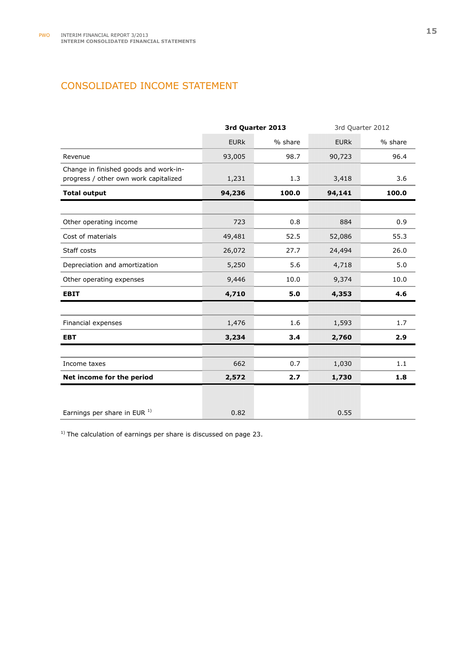## CONSOLIDATED INCOME STATEMENT

|                                                                                | 3rd Quarter 2013 |         | 3rd Quarter 2012 |         |
|--------------------------------------------------------------------------------|------------------|---------|------------------|---------|
|                                                                                | <b>EURK</b>      | % share | <b>EURK</b>      | % share |
| Revenue                                                                        | 93,005           | 98.7    | 90,723           | 96.4    |
| Change in finished goods and work-in-<br>progress / other own work capitalized | 1,231            | 1.3     | 3,418            | 3.6     |
| <b>Total output</b>                                                            | 94,236           | 100.0   | 94,141           | 100.0   |
|                                                                                |                  |         |                  |         |
| Other operating income                                                         | 723              | 0.8     | 884              | 0.9     |
| Cost of materials                                                              | 49,481           | 52.5    | 52,086           | 55.3    |
| Staff costs                                                                    | 26,072           | 27.7    | 24,494           | 26.0    |
| Depreciation and amortization                                                  | 5,250            | 5.6     | 4,718            | 5.0     |
| Other operating expenses                                                       | 9,446            | 10.0    | 9,374            | 10.0    |
| <b>EBIT</b>                                                                    | 4,710            | 5.0     | 4,353            | 4.6     |
|                                                                                |                  |         |                  |         |
| Financial expenses                                                             | 1,476            | 1.6     | 1,593            | 1.7     |
| <b>EBT</b>                                                                     | 3,234            | 3.4     | 2,760            | 2.9     |
|                                                                                |                  |         |                  |         |
| Income taxes                                                                   | 662              | 0.7     | 1,030            | 1.1     |
| Net income for the period                                                      | 2,572            | 2.7     | 1,730            | 1.8     |
|                                                                                |                  |         |                  |         |
| Earnings per share in EUR 1)                                                   | 0.82             |         | 0.55             |         |

 $1)$  The calculation of earnings per share is discussed on page 23.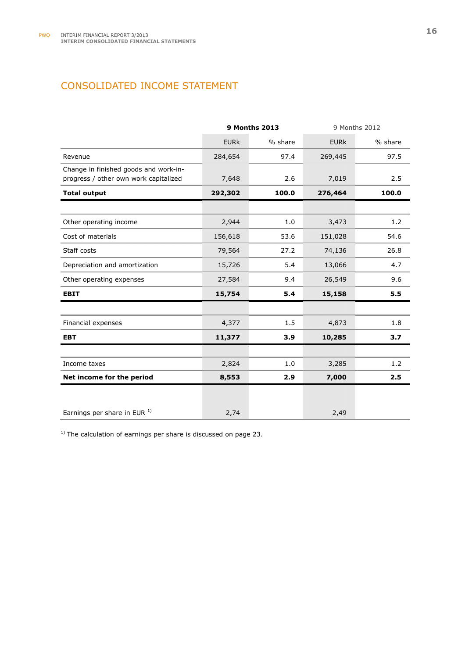## CONSOLIDATED INCOME STATEMENT

|                                                                                | <b>9 Months 2013</b> |         | 9 Months 2012 |         |
|--------------------------------------------------------------------------------|----------------------|---------|---------------|---------|
|                                                                                | <b>EURK</b>          | % share | <b>EURK</b>   | % share |
| Revenue                                                                        | 284,654              | 97.4    | 269,445       | 97.5    |
| Change in finished goods and work-in-<br>progress / other own work capitalized | 7,648                | 2.6     | 7,019         | 2.5     |
| <b>Total output</b>                                                            | 292,302              | 100.0   | 276,464       | 100.0   |
|                                                                                |                      |         |               |         |
| Other operating income                                                         | 2,944                | 1.0     | 3,473         | 1.2     |
| Cost of materials                                                              | 156,618              | 53.6    | 151,028       | 54.6    |
| Staff costs                                                                    | 79,564               | 27.2    | 74,136        | 26.8    |
| Depreciation and amortization                                                  | 15,726               | 5.4     | 13,066        | 4.7     |
| Other operating expenses                                                       | 27,584               | 9.4     | 26,549        | 9.6     |
| <b>EBIT</b>                                                                    | 15,754               | 5.4     | 15,158        | 5.5     |
|                                                                                |                      |         |               |         |
| Financial expenses                                                             | 4,377                | 1.5     | 4,873         | 1.8     |
| <b>EBT</b>                                                                     | 11,377               | 3.9     | 10,285        | 3.7     |
|                                                                                |                      |         |               |         |
| Income taxes                                                                   | 2,824                | 1.0     | 3,285         | 1.2     |
| Net income for the period                                                      | 8,553                | 2.9     | 7,000         | 2.5     |
|                                                                                |                      |         |               |         |
| Earnings per share in EUR 1)                                                   | 2,74                 |         | 2,49          |         |

 $1)$  The calculation of earnings per share is discussed on page 23.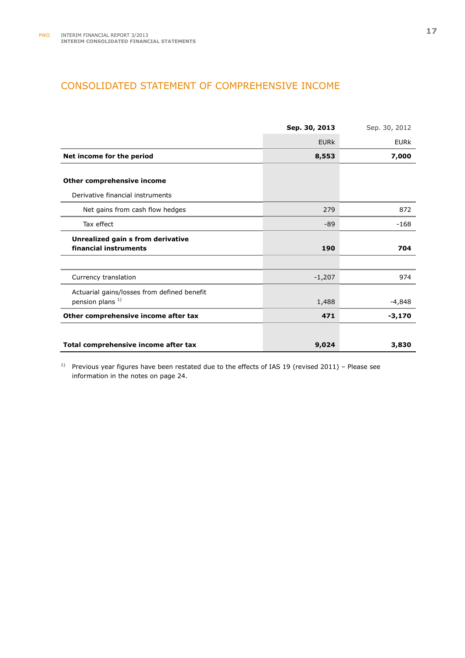## CONSOLIDATED STATEMENT OF COMPREHENSIVE INCOME

|                                             | Sep. 30, 2013 | Sep. 30, 2012 |
|---------------------------------------------|---------------|---------------|
|                                             | <b>EURK</b>   | <b>EURK</b>   |
| Net income for the period                   | 8,553         | 7,000         |
| Other comprehensive income                  |               |               |
| Derivative financial instruments            |               |               |
| Net gains from cash flow hedges             | 279           | 872           |
| Tax effect                                  | -89           | $-168$        |
| Unrealized gain s from derivative           |               |               |
| financial instruments                       | 190           | 704           |
|                                             |               |               |
| Currency translation                        | $-1,207$      | 974           |
| Actuarial gains/losses from defined benefit |               |               |
| pension plans <sup>1)</sup>                 | 1,488         | $-4,848$      |
| Other comprehensive income after tax        | 471           | $-3,170$      |
|                                             |               |               |
| Total comprehensive income after tax        | 9,024         | 3,830         |

<sup>1)</sup> Previous year figures have been restated due to the effects of IAS 19 (revised 2011) – Please see information in the notes on page 24.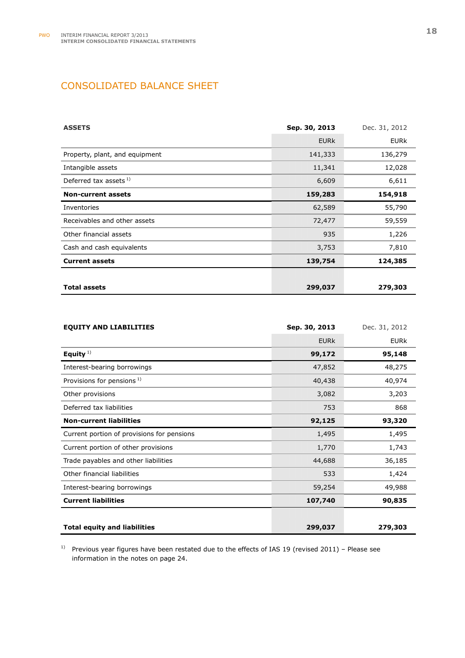## CONSOLIDATED BALANCE SHEET

| <b>ASSETS</b>                  | Sep. 30, 2013 | Dec. 31, 2012 |
|--------------------------------|---------------|---------------|
|                                | <b>EURK</b>   | <b>EURK</b>   |
| Property, plant, and equipment | 141,333       | 136,279       |
| Intangible assets              | 11,341        | 12,028        |
| Deferred tax assets $1$ )      | 6,609         | 6,611         |
| <b>Non-current assets</b>      | 159,283       | 154,918       |
| Inventories                    | 62,589        | 55,790        |
| Receivables and other assets   | 72,477        | 59,559        |
| Other financial assets         | 935           | 1,226         |
| Cash and cash equivalents      | 3,753         | 7,810         |
| <b>Current assets</b>          | 139,754       | 124,385       |
|                                |               |               |
| <b>Total assets</b>            | 299,037       | 279,303       |

| <b>EQUITY AND LIABILITIES</b>              | Sep. 30, 2013 | Dec. 31, 2012 |
|--------------------------------------------|---------------|---------------|
|                                            | <b>EURK</b>   | <b>EURK</b>   |
| Equity $1$ )                               | 99,172        | 95,148        |
| Interest-bearing borrowings                | 47,852        | 48,275        |
| Provisions for pensions <sup>1)</sup>      | 40,438        | 40,974        |
| Other provisions                           | 3,082         | 3,203         |
| Deferred tax liabilities                   | 753           | 868           |
| <b>Non-current liabilities</b>             | 92,125        | 93,320        |
| Current portion of provisions for pensions | 1,495         | 1,495         |
| Current portion of other provisions        | 1,770         | 1,743         |
| Trade payables and other liabilities       | 44,688        | 36,185        |
| Other financial liabilities                | 533           | 1,424         |
| Interest-bearing borrowings                | 59,254        | 49,988        |
| <b>Current liabilities</b>                 | 107,740       | 90,835        |
|                                            |               |               |
| <b>Total equity and liabilities</b>        | 299,037       | 279,303       |

<sup>1)</sup> Previous year figures have been restated due to the effects of IAS 19 (revised 2011) – Please see information in the notes on page 24.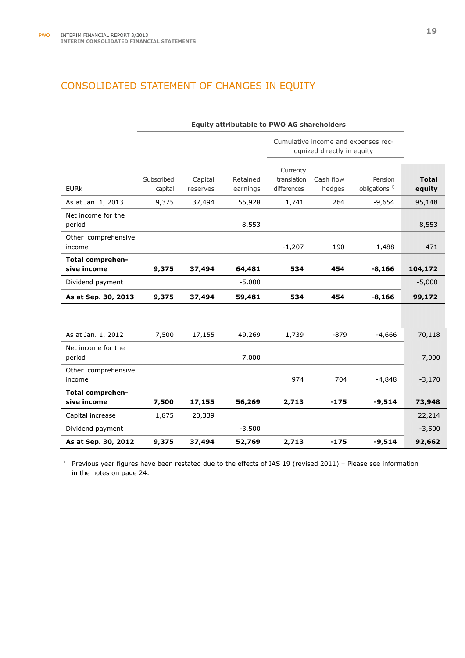## CONSOLIDATED STATEMENT OF CHANGES IN EQUITY

|                                        | <b>Equity attributable to PWO AG shareholders</b> |                     |                      |                                        |                            |                                      |                        |
|----------------------------------------|---------------------------------------------------|---------------------|----------------------|----------------------------------------|----------------------------|--------------------------------------|------------------------|
|                                        |                                                   |                     |                      |                                        | ognized directly in equity | Cumulative income and expenses rec-  |                        |
| <b>EURK</b>                            | Subscribed<br>capital                             | Capital<br>reserves | Retained<br>earnings | Currency<br>translation<br>differences | Cash flow<br>hedges        | Pension<br>obligations <sup>1)</sup> | <b>Total</b><br>equity |
| As at Jan. 1, 2013                     | 9,375                                             | 37,494              | 55,928               | 1,741                                  | 264                        | $-9,654$                             | 95,148                 |
| Net income for the<br>period           |                                                   |                     | 8,553                |                                        |                            |                                      | 8,553                  |
| Other comprehensive<br>income          |                                                   |                     |                      | $-1,207$                               | 190                        | 1,488                                | 471                    |
| <b>Total comprehen-</b><br>sive income | 9,375                                             | 37,494              | 64,481               | 534                                    | 454                        | $-8,166$                             | 104,172                |
| Dividend payment                       |                                                   |                     | $-5,000$             |                                        |                            |                                      | $-5,000$               |
| As at Sep. 30, 2013                    | 9,375                                             | 37,494              | 59,481               | 534                                    | 454                        | $-8,166$                             | 99,172                 |
|                                        |                                                   |                     |                      |                                        |                            |                                      |                        |
| As at Jan. 1, 2012                     | 7,500                                             | 17,155              | 49,269               | 1,739                                  | $-879$                     | $-4,666$                             | 70,118                 |
| Net income for the<br>period           |                                                   |                     | 7,000                |                                        |                            |                                      | 7,000                  |
| Other comprehensive<br>income          |                                                   |                     |                      | 974                                    | 704                        | $-4,848$                             | $-3,170$               |
| <b>Total comprehen-</b><br>sive income | 7,500                                             | 17,155              | 56,269               | 2,713                                  | $-175$                     | $-9,514$                             | 73,948                 |
| Capital increase                       | 1,875                                             | 20,339              |                      |                                        |                            |                                      | 22,214                 |
| Dividend payment                       |                                                   |                     | $-3,500$             |                                        |                            |                                      | $-3,500$               |
| As at Sep. 30, 2012                    | 9,375                                             | 37,494              | 52,769               | 2,713                                  | $-175$                     | $-9,514$                             | 92,662                 |

 $1)$  Previous year figures have been restated due to the effects of IAS 19 (revised 2011) – Please see information in the notes on page 24.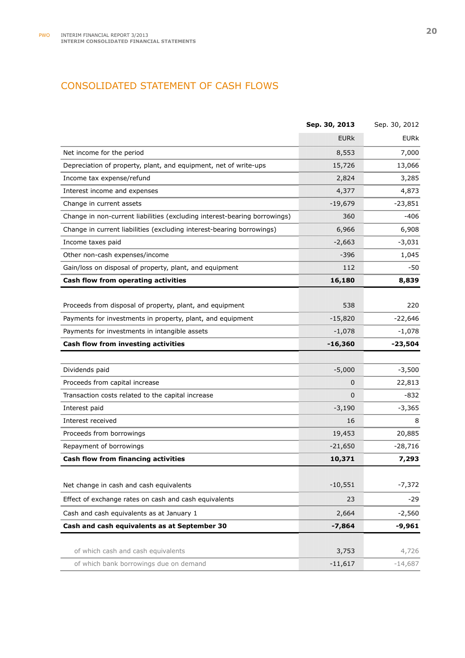## CONSOLIDATED STATEMENT OF CASH FLOWS

|                                                                           | Sep. 30, 2013 | Sep. 30, 2012 |
|---------------------------------------------------------------------------|---------------|---------------|
|                                                                           | <b>EURK</b>   | <b>EURK</b>   |
| Net income for the period                                                 | 8,553         | 7,000         |
| Depreciation of property, plant, and equipment, net of write-ups          | 15,726        | 13,066        |
| Income tax expense/refund                                                 | 2,824         | 3,285         |
| Interest income and expenses                                              | 4,377         | 4,873         |
| Change in current assets                                                  | $-19,679$     | $-23,851$     |
| Change in non-current liabilities (excluding interest-bearing borrowings) | 360           | $-406$        |
| Change in current liabilities (excluding interest-bearing borrowings)     | 6,966         | 6,908         |
| Income taxes paid                                                         | $-2,663$      | $-3,031$      |
| Other non-cash expenses/income                                            | -396          | 1,045         |
| Gain/loss on disposal of property, plant, and equipment                   | 112           | -50           |
| Cash flow from operating activities                                       | 16,180        | 8,839         |
|                                                                           |               |               |
| Proceeds from disposal of property, plant, and equipment                  | 538           | 220           |
| Payments for investments in property, plant, and equipment                | $-15,820$     | $-22,646$     |
| Payments for investments in intangible assets                             | $-1,078$      | $-1,078$      |
| Cash flow from investing activities                                       | $-16,360$     | $-23,504$     |
|                                                                           |               |               |
| Dividends paid                                                            | $-5,000$      | $-3,500$      |
| Proceeds from capital increase                                            | 0             | 22,813        |
| Transaction costs related to the capital increase                         | $\Omega$      | -832          |
| Interest paid                                                             | $-3,190$      | $-3,365$      |
| Interest received                                                         | 16            | 8             |
| Proceeds from borrowings                                                  | 19,453        | 20,885        |
| Repayment of borrowings                                                   | $-21,650$     | $-28,716$     |
| Cash flow from financing activities                                       | 10,371        | 7,293         |
|                                                                           |               |               |
| Net change in cash and cash equivalents                                   | $-10,551$     | $-7,372$      |
| Effect of exchange rates on cash and cash equivalents                     | 23            | $-29$         |
| Cash and cash equivalents as at January 1                                 | 2,664         | $-2,560$      |
| Cash and cash equivalents as at September 30                              | $-7,864$      | $-9,961$      |
|                                                                           |               |               |
| of which cash and cash equivalents                                        | 3,753         | 4,726         |
| of which bank borrowings due on demand                                    | $-11,617$     | $-14,687$     |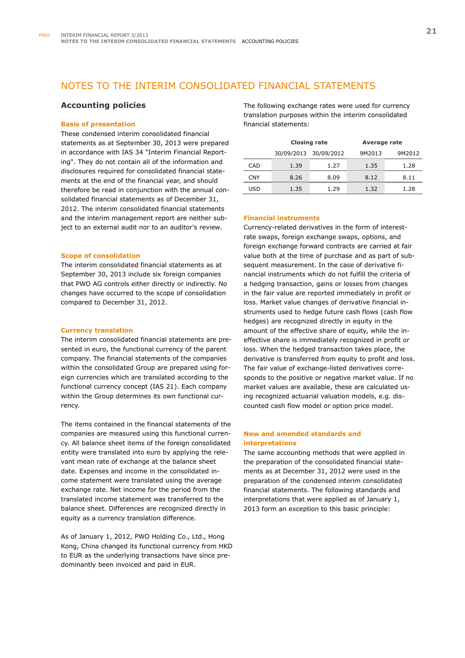## NOTES TO THE INTERIM CONSOLIDATED FINANCIAL STATEMENTS

#### **Accounting policies**

#### **Basis of presentation**

These condensed interim consolidated financial statements as at September 30, 2013 were prepared in accordance with IAS 34 "Interim Financial Reporting". They do not contain all of the information and disclosures required for consolidated financial statements at the end of the financial year, and should therefore be read in conjunction with the annual consolidated financial statements as of December 31, 2012. The interim consolidated financial statements and the interim management report are neither subject to an external audit nor to an auditor's review.

#### **Scope of consolidation**

The interim consolidated financial statements as at September 30, 2013 include six foreign companies that PWO AG controls either directly or indirectly. No changes have occurred to the scope of consolidation compared to December 31, 2012.

#### **Currency translation**

The interim consolidated financial statements are presented in euro, the functional currency of the parent company. The financial statements of the companies within the consolidated Group are prepared using foreign currencies which are translated according to the functional currency concept (IAS 21). Each company within the Group determines its own functional currency.

The items contained in the financial statements of the companies are measured using this functional currency. All balance sheet items of the foreign consolidated entity were translated into euro by applying the relevant mean rate of exchange at the balance sheet date. Expenses and income in the consolidated income statement were translated using the average exchange rate. Net income for the period from the translated income statement was transferred to the balance sheet. Differences are recognized directly in equity as a currency translation difference.

As of January 1, 2012, PWO Holding Co., Ltd., Hong Kong, China changed its functional currency from HKD to EUR as the underlying transactions have since predominantly been invoiced and paid in EUR.

The following exchange rates were used for currency translation purposes within the interim consolidated financial statements:

|            |      | <b>Closing rate</b>   | Average rate |        |
|------------|------|-----------------------|--------------|--------|
|            |      | 30/09/2013 30/09/2012 | 9M2013       | 9M2012 |
| CAD        | 1.39 | 1.27                  | 1.35         | 1.28   |
| <b>CNY</b> | 8.26 | 8.09                  | 8.12         | 8.11   |
| USD        | 1.35 | 1.29                  | 1.32         | 1.28   |

#### **Financial instruments**

Currency-related derivatives in the form of interestrate swaps, foreign exchange swaps, options, and foreign exchange forward contracts are carried at fair value both at the time of purchase and as part of subsequent measurement. In the case of derivative financial instruments which do not fulfill the criteria of a hedging transaction, gains or losses from changes in the fair value are reported immediately in profit or loss. Market value changes of derivative financial instruments used to hedge future cash flows (cash flow hedges) are recognized directly in equity in the amount of the effective share of equity, while the ineffective share is immediately recognized in profit or loss. When the hedged transaction takes place, the derivative is transferred from equity to profit and loss. The fair value of exchange-listed derivatives corresponds to the positive or negative market value. If no market values are available, these are calculated using recognized actuarial valuation models, e.g. discounted cash flow model or option price model.

#### **New and amended standards and interpretations**

The same accounting methods that were applied in the preparation of the consolidated financial statements as at December 31, 2012 were used in the preparation of the condensed interim consolidated financial statements. The following standards and interpretations that were applied as of January 1, 2013 form an exception to this basic principle: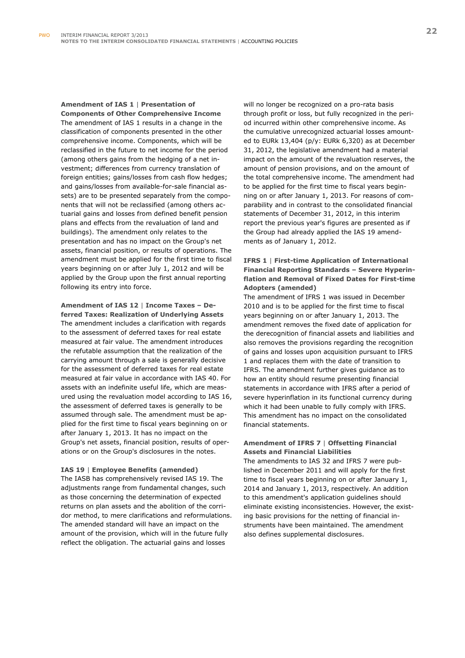## **Amendment of IAS 1** | **Presentation of**

**Components of Other Comprehensive Income**  The amendment of IAS 1 results in a change in the classification of components presented in the other comprehensive income. Components, which will be reclassified in the future to net income for the period (among others gains from the hedging of a net investment; differences from currency translation of foreign entities; gains/losses from cash flow hedges; and gains/losses from available-for-sale financial assets) are to be presented separately from the components that will not be reclassified (among others actuarial gains and losses from defined benefit pension plans and effects from the revaluation of land and buildings). The amendment only relates to the presentation and has no impact on the Group's net assets, financial position, or results of operations. The amendment must be applied for the first time to fiscal years beginning on or after July 1, 2012 and will be applied by the Group upon the first annual reporting following its entry into force.

### **Amendment of IAS 12** | **Income Taxes – Deferred Taxes: Realization of Underlying Assets**  The amendment includes a clarification with regards to the assessment of deferred taxes for real estate measured at fair value. The amendment introduces the refutable assumption that the realization of the carrying amount through a sale is generally decisive for the assessment of deferred taxes for real estate measured at fair value in accordance with IAS 40. For assets with an indefinite useful life, which are measured using the revaluation model according to IAS 16, the assessment of deferred taxes is generally to be assumed through sale. The amendment must be applied for the first time to fiscal years beginning on or after January 1, 2013. It has no impact on the Group's net assets, financial position, results of operations or on the Group's disclosures in the notes.

#### **IAS 19** | **Employee Benefits (amended)**

The IASB has comprehensively revised IAS 19. The adjustments range from fundamental changes, such as those concerning the determination of expected returns on plan assets and the abolition of the corridor method, to mere clarifications and reformulations. The amended standard will have an impact on the amount of the provision, which will in the future fully reflect the obligation. The actuarial gains and losses

will no longer be recognized on a pro-rata basis through profit or loss, but fully recognized in the period incurred within other comprehensive income. As the cumulative unrecognized actuarial losses amounted to EURk 13,404 (p/y: EURk 6,320) as at December 31, 2012, the legislative amendment had a material impact on the amount of the revaluation reserves, the amount of pension provisions, and on the amount of the total comprehensive income. The amendment had to be applied for the first time to fiscal years beginning on or after January 1, 2013. For reasons of comparability and in contrast to the consolidated financial statements of December 31, 2012, in this interim report the previous year's figures are presented as if the Group had already applied the IAS 19 amendments as of January 1, 2012.

### **IFRS 1** | **First-time Application of International Financial Reporting Standards – Severe Hyperinflation and Removal of Fixed Dates for First-time Adopters (amended)**

The amendment of IFRS 1 was issued in December 2010 and is to be applied for the first time to fiscal years beginning on or after January 1, 2013. The amendment removes the fixed date of application for the derecognition of financial assets and liabilities and also removes the provisions regarding the recognition of gains and losses upon acquisition pursuant to IFRS 1 and replaces them with the date of transition to IFRS. The amendment further gives guidance as to how an entity should resume presenting financial statements in accordance with IFRS after a period of severe hyperinflation in its functional currency during which it had been unable to fully comply with IFRS. This amendment has no impact on the consolidated financial statements.

#### **Amendment of IFRS 7** | **Offsetting Financial Assets and Financial Liabilities**

The amendments to IAS 32 and IFRS 7 were published in December 2011 and will apply for the first time to fiscal years beginning on or after January 1, 2014 and January 1, 2013, respectively. An addition to this amendment's application guidelines should eliminate existing inconsistencies. However, the existing basic provisions for the netting of financial instruments have been maintained. The amendment also defines supplemental disclosures.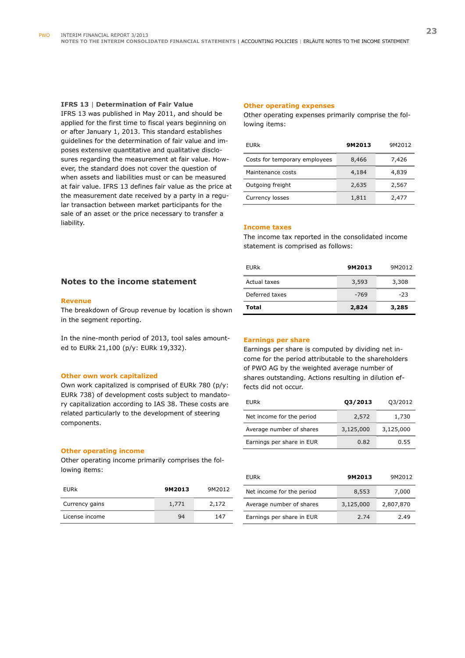#### **IFRS 13** | **Determination of Fair Value**

IFRS 13 was published in May 2011, and should be applied for the first time to fiscal years beginning on or after January 1, 2013. This standard establishes guidelines for the determination of fair value and imposes extensive quantitative and qualitative disclosures regarding the measurement at fair value. However, the standard does not cover the question of when assets and liabilities must or can be measured at fair value. IFRS 13 defines fair value as the price at the measurement date received by a party in a regular transaction between market participants for the sale of an asset or the price necessary to transfer a liability.

#### **Other operating expenses**

Other operating expenses primarily comprise the following items:

| EURk                          | 9M2013 | 9M2012 |
|-------------------------------|--------|--------|
| Costs for temporary employees | 8,466  | 7,426  |
| Maintenance costs             | 4,184  | 4,839  |
| Outgoing freight              | 2,635  | 2,567  |
| Currency losses               | 1,811  | 2,477  |

#### **Income taxes**

The income tax reported in the consolidated income statement is comprised as follows:

| EURk           | 9M2013 | 9M2012 |
|----------------|--------|--------|
| Actual taxes   | 3,593  | 3,308  |
| Deferred taxes | $-769$ | $-23$  |
| Total          | 2,824  | 3,285  |

#### **Notes to the income statement**

#### **Revenue**

The breakdown of Group revenue by location is shown in the segment reporting.

In the nine-month period of 2013, tool sales amounted to EURk 21,100 (p/y: EURk 19,332).

#### **Other own work capitalized**

Own work capitalized is comprised of EURk 780 (p/y: EURk 738) of development costs subject to mandatory capitalization according to IAS 38. These costs are related particularly to the development of steering components.

#### **Other operating income**

Other operating income primarily comprises the following items:

| EURk           | 9M2013 | 9M2012 |
|----------------|--------|--------|
| Currency gains | 1,771  | 2,172  |
| License income | 94     | 147    |

#### **Earnings per share**

Earnings per share is computed by dividing net income for the period attributable to the shareholders of PWO AG by the weighted average number of shares outstanding. Actions resulting in dilution effects did not occur.

| <b>EURK</b>               | 03/2013   | 03/2012   |
|---------------------------|-----------|-----------|
| Net income for the period | 2,572     | 1,730     |
| Average number of shares  | 3,125,000 | 3,125,000 |
| Earnings per share in EUR | 0.82      | 0.55      |

| EURk                      | 9M2013    | 9M2012    |
|---------------------------|-----------|-----------|
| Net income for the period | 8,553     | 7,000     |
| Average number of shares  | 3,125,000 | 2,807,870 |
| Earnings per share in EUR | 2.74      | 2.49      |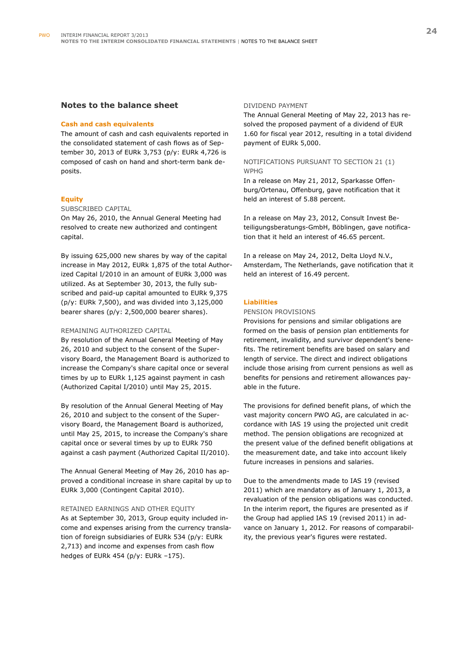#### **Notes to the balance sheet**

#### **Cash and cash equivalents**

The amount of cash and cash equivalents reported in the consolidated statement of cash flows as of September 30, 2013 of EURk 3,753 (p/y: EURk 4,726 is composed of cash on hand and short-term bank deposits.

#### **Equity**

#### SUBSCRIBED CAPITAL

On May 26, 2010, the Annual General Meeting had resolved to create new authorized and contingent capital.

By issuing 625,000 new shares by way of the capital increase in May 2012, EURk 1,875 of the total Authorized Capital I/2010 in an amount of EURk 3,000 was utilized. As at September 30, 2013, the fully subscribed and paid-up capital amounted to EURk 9,375 (p/y: EURk 7,500), and was divided into 3,125,000 bearer shares (p/y: 2,500,000 bearer shares).

#### REMAINING AUTHORIZED CAPITAL

By resolution of the Annual General Meeting of May 26, 2010 and subject to the consent of the Supervisory Board, the Management Board is authorized to increase the Company's share capital once or several times by up to EURk 1,125 against payment in cash (Authorized Capital I/2010) until May 25, 2015.

By resolution of the Annual General Meeting of May 26, 2010 and subject to the consent of the Supervisory Board, the Management Board is authorized, until May 25, 2015, to increase the Company's share capital once or several times by up to EURk 750 against a cash payment (Authorized Capital II/2010).

The Annual General Meeting of May 26, 2010 has approved a conditional increase in share capital by up to EURk 3,000 (Contingent Capital 2010).

## RETAINED EARNINGS AND OTHER EQUITY

As at September 30, 2013, Group equity included income and expenses arising from the currency translation of foreign subsidiaries of EURk 534 (p/y: EURk 2,713) and income and expenses from cash flow hedges of EURk 454 (p/y: EURk –175).

#### DIVIDEND PAYMENT

The Annual General Meeting of May 22, 2013 has resolved the proposed payment of a dividend of EUR 1.60 for fiscal year 2012, resulting in a total dividend payment of EURk 5,000.

#### NOTIFICATIONS PURSUANT TO SECTION 21 (1) WPHG

In a release on May 21, 2012, Sparkasse Offenburg/Ortenau, Offenburg, gave notification that it held an interest of 5.88 percent.

In a release on May 23, 2012, Consult Invest Beteiligungsberatungs-GmbH, Böblingen, gave notification that it held an interest of 46.65 percent.

In a release on May 24, 2012, Delta Lloyd N.V., Amsterdam, The Netherlands, gave notification that it held an interest of 16.49 percent.

#### **Liabilities**

#### PENSION PROVISIONS

Provisions for pensions and similar obligations are formed on the basis of pension plan entitlements for retirement, invalidity, and survivor dependent's benefits. The retirement benefits are based on salary and length of service. The direct and indirect obligations include those arising from current pensions as well as benefits for pensions and retirement allowances payable in the future.

The provisions for defined benefit plans, of which the vast majority concern PWO AG, are calculated in accordance with IAS 19 using the projected unit credit method. The pension obligations are recognized at the present value of the defined benefit obligations at the measurement date, and take into account likely future increases in pensions and salaries.

Due to the amendments made to IAS 19 (revised 2011) which are mandatory as of January 1, 2013, a revaluation of the pension obligations was conducted. In the interim report, the figures are presented as if the Group had applied IAS 19 (revised 2011) in advance on January 1, 2012. For reasons of comparability, the previous year's figures were restated.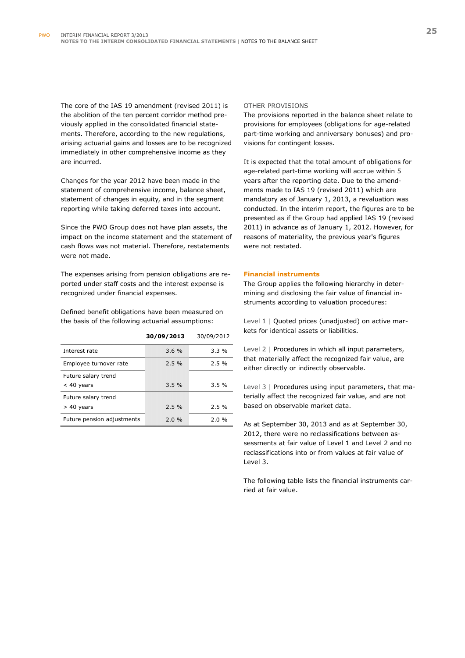The core of the IAS 19 amendment (revised 2011) is the abolition of the ten percent corridor method previously applied in the consolidated financial statements. Therefore, according to the new regulations, arising actuarial gains and losses are to be recognized immediately in other comprehensive income as they are incurred.

Changes for the year 2012 have been made in the statement of comprehensive income, balance sheet, statement of changes in equity, and in the segment reporting while taking deferred taxes into account.

Since the PWO Group does not have plan assets, the impact on the income statement and the statement of cash flows was not material. Therefore, restatements were not made.

The expenses arising from pension obligations are reported under staff costs and the interest expense is recognized under financial expenses.

Defined benefit obligations have been measured on the basis of the following actuarial assumptions:

|                            | 30/09/2013 | 30/09/2012 |
|----------------------------|------------|------------|
| Interest rate              | 3.6%       | $3.3\%$    |
| Employee turnover rate     | $2.5\%$    | 2.5%       |
| Future salary trend        |            |            |
| $<$ 40 years               | 3.5%       | 3.5%       |
| Future salary trend        |            |            |
| $> 40$ years               | 2.5%       | 2.5%       |
| Future pension adjustments | 2.0%       | 2.0%       |

#### OTHER PROVISIONS

The provisions reported in the balance sheet relate to provisions for employees (obligations for age-related part-time working and anniversary bonuses) and provisions for contingent losses.

It is expected that the total amount of obligations for age-related part-time working will accrue within 5 years after the reporting date. Due to the amendments made to IAS 19 (revised 2011) which are mandatory as of January 1, 2013, a revaluation was conducted. In the interim report, the figures are to be presented as if the Group had applied IAS 19 (revised 2011) in advance as of January 1, 2012. However, for reasons of materiality, the previous year's figures were not restated.

#### **Financial instruments**

The Group applies the following hierarchy in determining and disclosing the fair value of financial instruments according to valuation procedures:

Level 1 | Quoted prices (unadjusted) on active markets for identical assets or liabilities.

Level 2 | Procedures in which all input parameters, that materially affect the recognized fair value, are either directly or indirectly observable.

Level 3 | Procedures using input parameters, that materially affect the recognized fair value, and are not based on observable market data.

As at September 30, 2013 and as at September 30, 2012, there were no reclassifications between assessments at fair value of Level 1 and Level 2 and no reclassifications into or from values at fair value of Level 3.

The following table lists the financial instruments carried at fair value.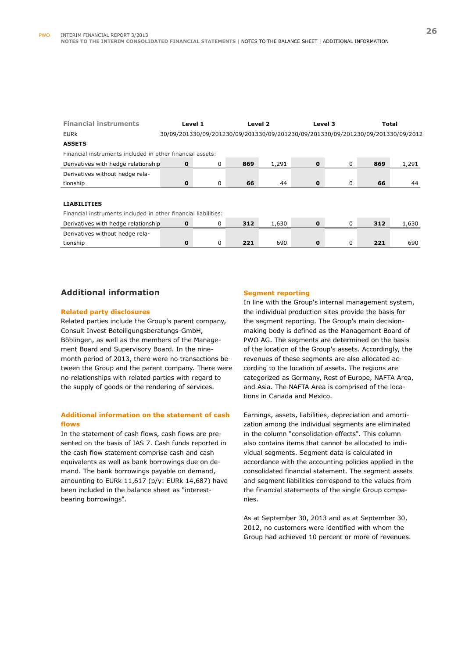| <b>Financial instruments</b>                                   | Level 1                                                                          |   |     | Level 2 |              | Level 3 |     | <b>Total</b> |
|----------------------------------------------------------------|----------------------------------------------------------------------------------|---|-----|---------|--------------|---------|-----|--------------|
| <b>EURK</b>                                                    | 30/09/201330/09/201230/09/201330/09/201230/09/201330/09/201230/09/201330/09/2012 |   |     |         |              |         |     |              |
| <b>ASSETS</b>                                                  |                                                                                  |   |     |         |              |         |     |              |
| Financial instruments included in other financial assets:      |                                                                                  |   |     |         |              |         |     |              |
| Derivatives with hedge relationship                            | $\mathbf{0}$                                                                     | 0 | 869 | 1,291   | $\mathbf{0}$ | 0       | 869 | 1,291        |
| Derivatives without hedge rela-                                |                                                                                  |   |     |         |              |         |     |              |
| tionship                                                       | $\mathbf 0$                                                                      | 0 | 66  | 44      | $\Omega$     | 0       | 66  | 44           |
|                                                                |                                                                                  |   |     |         |              |         |     |              |
| <b>LIABILITIES</b>                                             |                                                                                  |   |     |         |              |         |     |              |
| Financial instruments included in other financial liabilities: |                                                                                  |   |     |         |              |         |     |              |
| Derivatives with hedge relationship                            | $\mathbf{0}$                                                                     | 0 | 312 | 1,630   | $\mathbf{0}$ | 0       | 312 | 1,630        |
| Derivatives without hedge rela-                                |                                                                                  |   |     |         |              |         |     |              |
| tionship                                                       | 0                                                                                | 0 | 221 | 690     | $\Omega$     | 0       | 221 | 690          |
|                                                                |                                                                                  |   |     |         |              |         |     |              |

### **Additional information**

#### **Related party disclosures**

Related parties include the Group's parent company, Consult Invest Beteiligungsberatungs-GmbH, Böblingen, as well as the members of the Management Board and Supervisory Board. In the ninemonth period of 2013, there were no transactions between the Group and the parent company. There were no relationships with related parties with regard to the supply of goods or the rendering of services.

#### **Additional information on the statement of cash flows**

In the statement of cash flows, cash flows are presented on the basis of IAS 7. Cash funds reported in the cash flow statement comprise cash and cash equivalents as well as bank borrowings due on demand. The bank borrowings payable on demand, amounting to EURk 11,617 (p/y: EURk 14,687) have been included in the balance sheet as "interestbearing borrowings".

#### **Segment reporting**

In line with the Group's internal management system, the individual production sites provide the basis for the segment reporting. The Group's main decisionmaking body is defined as the Management Board of PWO AG. The segments are determined on the basis of the location of the Group's assets. Accordingly, the revenues of these segments are also allocated according to the location of assets. The regions are categorized as Germany, Rest of Europe, NAFTA Area, and Asia. The NAFTA Area is comprised of the locations in Canada and Mexico.

Earnings, assets, liabilities, depreciation and amortization among the individual segments are eliminated in the column "consolidation effects". This column also contains items that cannot be allocated to individual segments. Segment data is calculated in accordance with the accounting policies applied in the consolidated financial statement. The segment assets and segment liabilities correspond to the values from the financial statements of the single Group companies.

As at September 30, 2013 and as at September 30, 2012, no customers were identified with whom the Group had achieved 10 percent or more of revenues.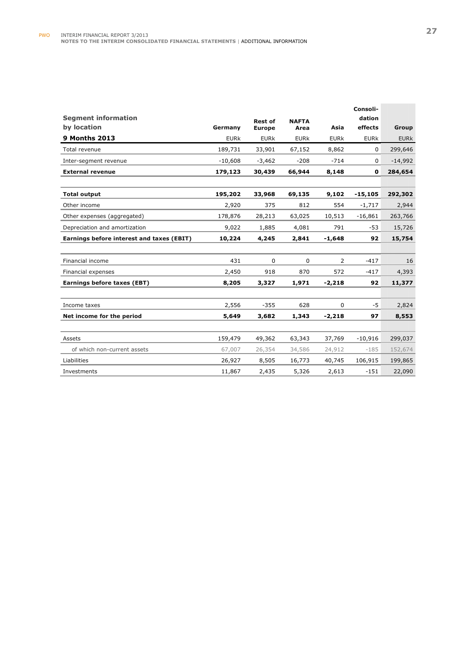|                                           |             |                |              |             | Consoli-    |             |
|-------------------------------------------|-------------|----------------|--------------|-------------|-------------|-------------|
| <b>Segment information</b>                |             | <b>Rest of</b> | <b>NAFTA</b> |             | dation      |             |
| by location                               | Germany     | <b>Europe</b>  | Area         | Asia        | effects     | Group       |
| <b>9 Months 2013</b>                      | <b>EURk</b> | <b>EURK</b>    | <b>EURK</b>  | <b>EURK</b> | <b>EURK</b> | <b>EURK</b> |
| Total revenue                             | 189,731     | 33,901         | 67,152       | 8,862       | 0           | 299,646     |
| Inter-segment revenue                     | $-10,608$   | $-3,462$       | $-208$       | $-714$      | 0           | $-14,992$   |
| <b>External revenue</b>                   | 179,123     | 30,439         | 66,944       | 8,148       | 0           | 284,654     |
|                                           |             |                |              |             |             |             |
| <b>Total output</b>                       | 195,202     | 33,968         | 69,135       | 9,102       | $-15,105$   | 292,302     |
| Other income                              | 2,920       | 375            | 812          | 554         | $-1,717$    | 2,944       |
| Other expenses (aggregated)               | 178,876     | 28,213         | 63,025       | 10,513      | $-16,861$   | 263,766     |
| Depreciation and amortization             | 9,022       | 1,885          | 4,081        | 791         | -53         | 15,726      |
| Earnings before interest and taxes (EBIT) | 10,224      | 4,245          | 2,841        | $-1,648$    | 92          | 15,754      |
|                                           |             |                |              |             |             |             |
| Financial income                          | 431         | 0              | 0            | 2           | $-417$      | 16          |
| Financial expenses                        | 2,450       | 918            | 870          | 572         | $-417$      | 4,393       |
| Earnings before taxes (EBT)               | 8,205       | 3,327          | 1,971        | $-2,218$    | 92          | 11,377      |
|                                           |             |                |              |             |             |             |
| Income taxes                              | 2,556       | $-355$         | 628          | $\mathbf 0$ | -5          | 2,824       |
| Net income for the period                 | 5,649       | 3,682          | 1,343        | $-2,218$    | 97          | 8,553       |
|                                           |             |                |              |             |             |             |
| Assets                                    | 159,479     | 49,362         | 63,343       | 37,769      | $-10,916$   | 299,037     |
| of which non-current assets               | 67,007      | 26,354         | 34,586       | 24,912      | $-185$      | 152,674     |
| Liabilities                               | 26,927      | 8,505          | 16,773       | 40,745      | 106,915     | 199,865     |
| Investments                               | 11,867      | 2,435          | 5,326        | 2,613       | $-151$      | 22,090      |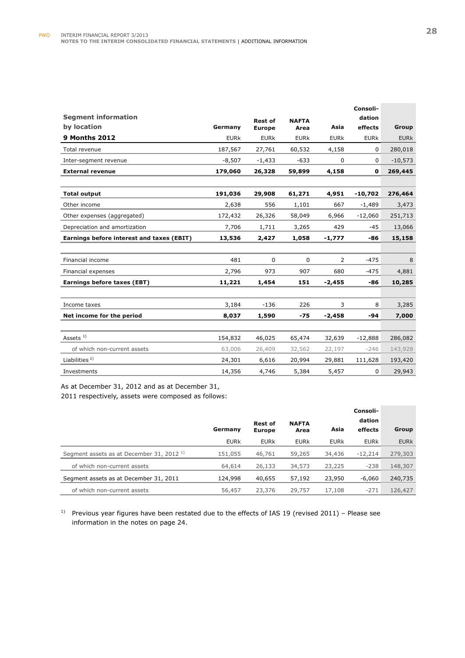|                                           |             |                |              |                | Consoli-    |             |
|-------------------------------------------|-------------|----------------|--------------|----------------|-------------|-------------|
| <b>Segment information</b>                |             | <b>Rest of</b> | <b>NAFTA</b> |                | dation      |             |
| by location                               | Germany     | <b>Europe</b>  | Area         | Asia           | effects     | Group       |
| <b>9 Months 2012</b>                      | <b>EURK</b> | <b>EURk</b>    | <b>EURK</b>  | <b>EURk</b>    | <b>EURk</b> | <b>EURK</b> |
| Total revenue                             | 187,567     | 27,761         | 60,532       | 4,158          | 0           | 280,018     |
| Inter-segment revenue                     | $-8,507$    | $-1,433$       | $-633$       | 0              | 0           | $-10,573$   |
| <b>External revenue</b>                   | 179,060     | 26,328         | 59,899       | 4,158          | 0           | 269,445     |
|                                           |             |                |              |                |             |             |
| <b>Total output</b>                       | 191,036     | 29,908         | 61,271       | 4,951          | $-10,702$   | 276,464     |
| Other income                              | 2,638       | 556            | 1,101        | 667            | $-1,489$    | 3,473       |
| Other expenses (aggregated)               | 172,432     | 26,326         | 58,049       | 6,966          | $-12,060$   | 251,713     |
| Depreciation and amortization             | 7,706       | 1,711          | 3,265        | 429            | $-45$       | 13,066      |
| Earnings before interest and taxes (EBIT) | 13,536      | 2,427          | 1,058        | $-1,777$       | -86         | 15,158      |
|                                           |             |                |              |                |             |             |
| Financial income                          | 481         | $\Omega$       | $\mathbf 0$  | $\overline{2}$ | $-475$      | 8           |
| Financial expenses                        | 2,796       | 973            | 907          | 680            | $-475$      | 4,881       |
| Earnings before taxes (EBT)               | 11,221      | 1,454          | 151          | $-2,455$       | -86         | 10,285      |
|                                           |             |                |              |                |             |             |
| Income taxes                              | 3,184       | $-136$         | 226          | 3              | 8           | 3,285       |
| Net income for the period                 | 8,037       | 1,590          | $-75$        | $-2,458$       | $-94$       | 7,000       |
|                                           |             |                |              |                |             |             |
| Assets $1)$                               | 154,832     | 46,025         | 65,474       | 32,639         | $-12,888$   | 286,082     |
| of which non-current assets               | 63,006      | 26,409         | 32,562       | 22,197         | $-246$      | 143,928     |
| Liabilities $1$                           | 24,301      | 6,616          | 20,994       | 29,881         | 111,628     | 193,420     |
| Investments                               | 14,356      | 4,746          | 5,384        | 5,457          | 0           | 29,943      |

As at December 31, 2012 and as at December 31,

2011 respectively, assets were composed as follows:

|                                                     |             |                                 |                      |             | Consoli-    |             |
|-----------------------------------------------------|-------------|---------------------------------|----------------------|-------------|-------------|-------------|
|                                                     |             | <b>Rest of</b><br><b>Europe</b> | <b>NAFTA</b><br>Area |             | dation      |             |
|                                                     | Germany     |                                 |                      | Asia        | effects     | Group       |
|                                                     | <b>EURK</b> | <b>EURk</b>                     | <b>EURK</b>          | <b>EURk</b> | <b>EURK</b> | <b>EURK</b> |
| Segment assets as at December 31, 2012 <sup>1</sup> | 151,055     | 46,761                          | 59,265               | 34,436      | $-12,214$   | 279,303     |
| of which non-current assets                         | 64,614      | 26,133                          | 34,573               | 23,225      | $-238$      | 148,307     |
| Segment assets as at December 31, 2011              | 124,998     | 40,655                          | 57,192               | 23,950      | -6,060      | 240,735     |
| of which non-current assets                         | 56,457      | 23,376                          | 29,757               | 17,108      | $-271$      | 126,427     |

<sup>1)</sup> Previous year figures have been restated due to the effects of IAS 19 (revised 2011) – Please see information in the notes on page 24.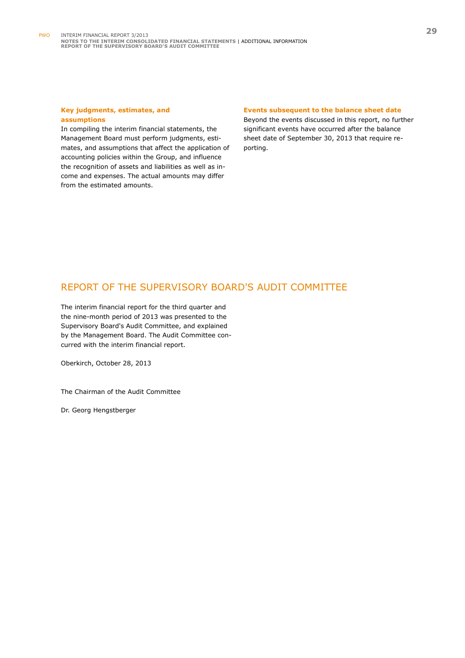#### **Key judgments, estimates, and assumptions**

In compiling the interim financial statements, the Management Board must perform judgments, estimates, and assumptions that affect the application of accounting policies within the Group, and influence the recognition of assets and liabilities as well as income and expenses. The actual amounts may differ from the estimated amounts.

#### **Events subsequent to the balance sheet date**

Beyond the events discussed in this report, no further significant events have occurred after the balance sheet date of September 30, 2013 that require reporting.

## REPORT OF THE SUPERVISORY BOARD'S AUDIT COMMITTEE

The interim financial report for the third quarter and the nine-month period of 2013 was presented to the Supervisory Board's Audit Committee, and explained by the Management Board. The Audit Committee concurred with the interim financial report.

Oberkirch, October 28, 2013

The Chairman of the Audit Committee

Dr. Georg Hengstberger